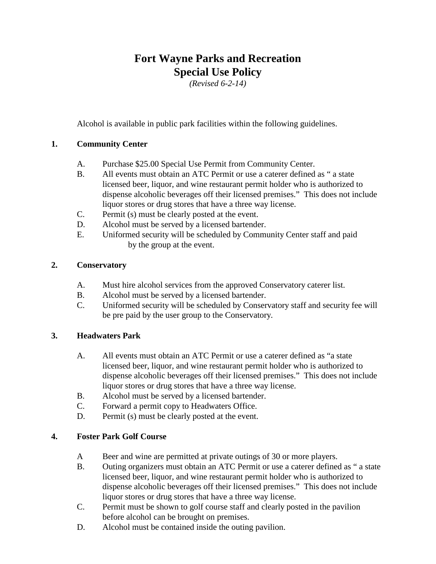# **Fort Wayne Parks and Recreation Special Use Policy**

*(Revised 6-2-14)* 

Alcohol is available in public park facilities within the following guidelines.

# **1. Community Center**

- A. Purchase \$25.00 Special Use Permit from Community Center.
- B. All events must obtain an ATC Permit or use a caterer defined as " a state licensed beer, liquor, and wine restaurant permit holder who is authorized to dispense alcoholic beverages off their licensed premises." This does not include liquor stores or drug stores that have a three way license.
- C. Permit (s) must be clearly posted at the event.
- D. Alcohol must be served by a licensed bartender.
- E. Uniformed security will be scheduled by Community Center staff and paid by the group at the event.

### **2. Conservatory**

- A. Must hire alcohol services from the approved Conservatory caterer list.
- B. Alcohol must be served by a licensed bartender.
- C. Uniformed security will be scheduled by Conservatory staff and security fee will be pre paid by the user group to the Conservatory.

### **3. Headwaters Park**

- A. All events must obtain an ATC Permit or use a caterer defined as "a state licensed beer, liquor, and wine restaurant permit holder who is authorized to dispense alcoholic beverages off their licensed premises." This does not include liquor stores or drug stores that have a three way license.
- B. Alcohol must be served by a licensed bartender.
- C. Forward a permit copy to Headwaters Office.
- D. Permit (s) must be clearly posted at the event.

### **4. Foster Park Golf Course**

- A Beer and wine are permitted at private outings of 30 or more players.
- B. Outing organizers must obtain an ATC Permit or use a caterer defined as " a state licensed beer, liquor, and wine restaurant permit holder who is authorized to dispense alcoholic beverages off their licensed premises." This does not include liquor stores or drug stores that have a three way license.
- C. Permit must be shown to golf course staff and clearly posted in the pavilion before alcohol can be brought on premises.
- D. Alcohol must be contained inside the outing pavilion.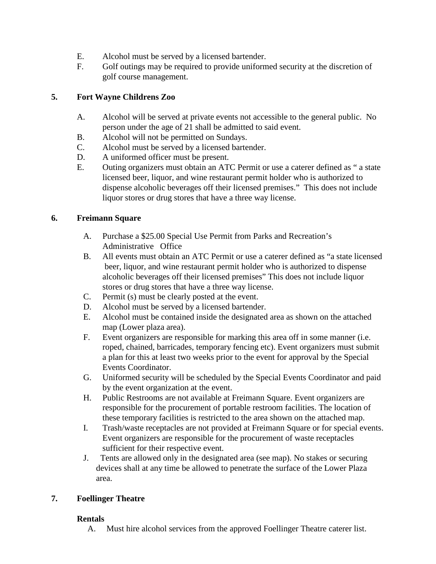- E. Alcohol must be served by a licensed bartender.
- F. Golf outings may be required to provide uniformed security at the discretion of golf course management.

# **5. Fort Wayne Childrens Zoo**

- A. Alcohol will be served at private events not accessible to the general public. No person under the age of 21 shall be admitted to said event.
- B. Alcohol will not be permitted on Sundays.
- C. Alcohol must be served by a licensed bartender.
- D. A uniformed officer must be present.
- E. Outing organizers must obtain an ATC Permit or use a caterer defined as " a state licensed beer, liquor, and wine restaurant permit holder who is authorized to dispense alcoholic beverages off their licensed premises." This does not include liquor stores or drug stores that have a three way license.

### **6. Freimann Square**

- A. Purchase a \$25.00 Special Use Permit from Parks and Recreation's Administrative Office
- B. All events must obtain an ATC Permit or use a caterer defined as "a state licensed beer, liquor, and wine restaurant permit holder who is authorized to dispense alcoholic beverages off their licensed premises" This does not include liquor stores or drug stores that have a three way license.
- C. Permit (s) must be clearly posted at the event.
- D. Alcohol must be served by a licensed bartender.
- E. Alcohol must be contained inside the designated area as shown on the attached map (Lower plaza area).
- F. Event organizers are responsible for marking this area off in some manner (i.e. roped, chained, barricades, temporary fencing etc). Event organizers must submit a plan for this at least two weeks prior to the event for approval by the Special Events Coordinator.
- G. Uniformed security will be scheduled by the Special Events Coordinator and paid by the event organization at the event.
- H. Public Restrooms are not available at Freimann Square. Event organizers are responsible for the procurement of portable restroom facilities. The location of these temporary facilities is restricted to the area shown on the attached map.
- I. Trash/waste receptacles are not provided at Freimann Square or for special events. Event organizers are responsible for the procurement of waste receptacles sufficient for their respective event.
- J. Tents are allowed only in the designated area (see map). No stakes or securing devices shall at any time be allowed to penetrate the surface of the Lower Plaza area.

### **7. Foellinger Theatre**

### **Rentals**

A. Must hire alcohol services from the approved Foellinger Theatre caterer list.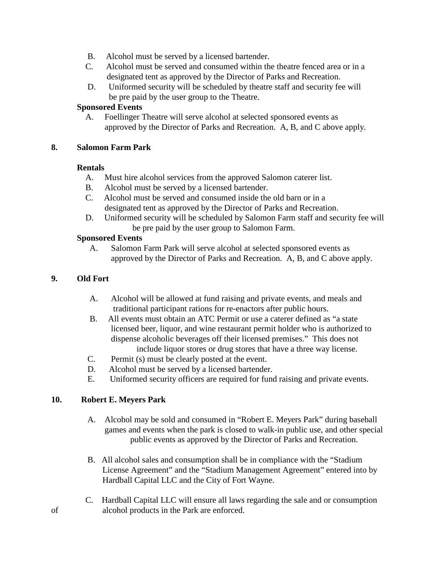- B. Alcohol must be served by a licensed bartender.
- C. Alcohol must be served and consumed within the theatre fenced area or in a designated tent as approved by the Director of Parks and Recreation.
- D. Uniformed security will be scheduled by theatre staff and security fee will be pre paid by the user group to the Theatre.

### **Sponsored Events**

A.Foellinger Theatre will serve alcohol at selected sponsored events as approved by the Director of Parks and Recreation. A, B, and C above apply.

#### **8. Salomon Farm Park**

#### **Rentals**

- A. Must hire alcohol services from the approved Salomon caterer list.
- B. Alcohol must be served by a licensed bartender.
- C. Alcohol must be served and consumed inside the old barn or in a designated tent as approved by the Director of Parks and Recreation.
- D. Uniformed security will be scheduled by Salomon Farm staff and security fee will be pre paid by the user group to Salomon Farm.

### **Sponsored Events**

A. Salomon Farm Park will serve alcohol at selected sponsored events as approved by the Director of Parks and Recreation. A, B, and C above apply.

### **9. Old Fort**

- A. Alcohol will be allowed at fund raising and private events, and meals and traditional participant rations for re-enactors after public hours.
- B. All events must obtain an ATC Permit or use a caterer defined as "a state licensed beer, liquor, and wine restaurant permit holder who is authorized to dispense alcoholic beverages off their licensed premises." This does not include liquor stores or drug stores that have a three way license.
- C. Permit (s) must be clearly posted at the event.
- D. Alcohol must be served by a licensed bartender.
- E. Uniformed security officers are required for fund raising and private events.

### **10. Robert E. Meyers Park**

- A. Alcohol may be sold and consumed in "Robert E. Meyers Park" during baseball games and events when the park is closed to walk-in public use, and other special public events as approved by the Director of Parks and Recreation.
- B. All alcohol sales and consumption shall be in compliance with the "Stadium License Agreement" and the "Stadium Management Agreement" entered into by Hardball Capital LLC and the City of Fort Wayne.
- C. Hardball Capital LLC will ensure all laws regarding the sale and or consumption of alcohol products in the Park are enforced.